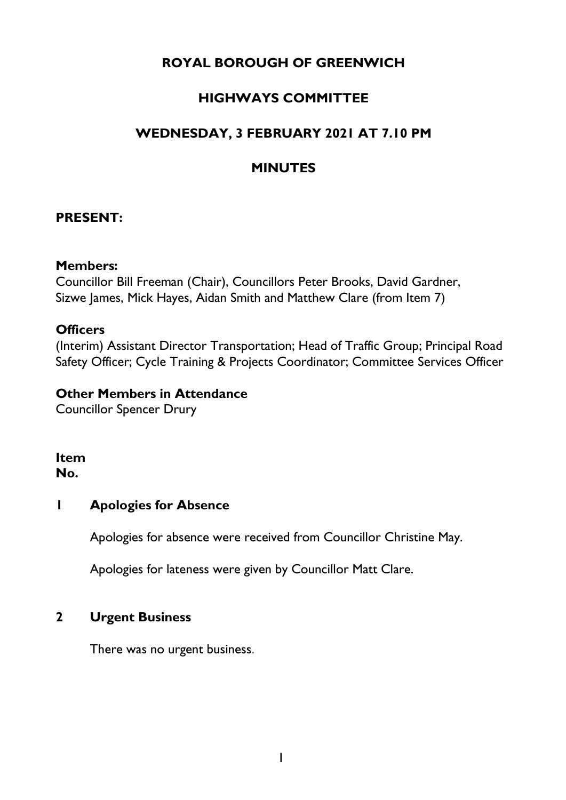# **ROYAL BOROUGH OF GREENWICH**

# **HIGHWAYS COMMITTEE**

# **WEDNESDAY, 3 FEBRUARY 2021 AT 7.10 PM**

# **MINUTES**

# **PRESENT:**

#### **Members:**

Councillor Bill Freeman (Chair), Councillors Peter Brooks, David Gardner, Sizwe James, Mick Hayes, Aidan Smith and Matthew Clare (from Item 7)

# **Officers**

(Interim) Assistant Director Transportation; Head of Traffic Group; Principal Road Safety Officer; Cycle Training & Projects Coordinator; Committee Services Officer

## **Other Members in Attendance**

Councillor Spencer Drury

#### **Item No.**

# **1 Apologies for Absence**

Apologies for absence were received from Councillor Christine May.

Apologies for lateness were given by Councillor Matt Clare.

# **2 Urgent Business**

There was no urgent business.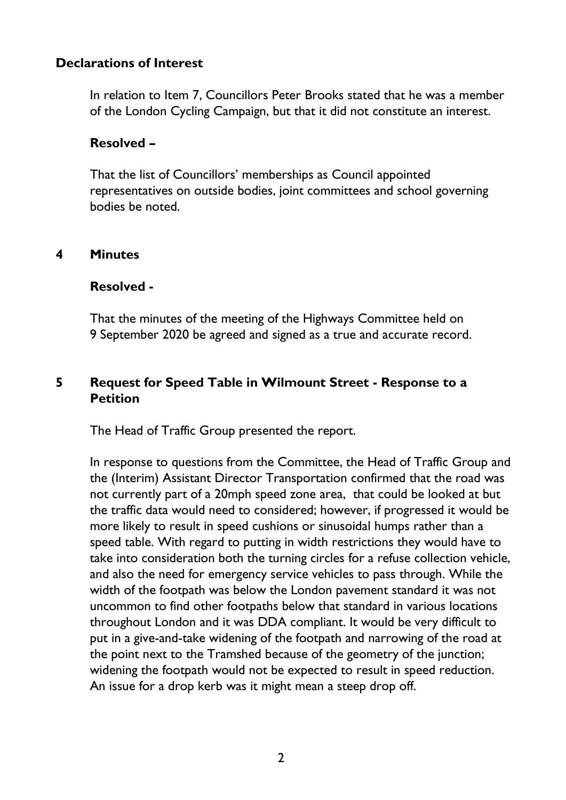### **Declarations of Interest**

In relation to Item 7, Councillors Peter Brooks stated that he was a member of the London Cycling Campaign, but that it did not constitute an interest.

#### **Resolved –**

That the list of Councillors' memberships as Council appointed representatives on outside bodies, joint committees and school governing bodies be noted.

#### **4 Minutes**

#### **Resolved -**

That the minutes of the meeting of the Highways Committee held on 9 September 2020 be agreed and signed as a true and accurate record.

## **5 Request for Speed Table in Wilmount Street - Response to a Petition**

The Head of Traffic Group presented the report.

In response to questions from the Committee, the Head of Traffic Group and the (Interim) Assistant Director Transportation confirmed that the road was not currently part of a 20mph speed zone area, that could be looked at but the traffic data would need to considered; however, if progressed it would be more likely to result in speed cushions or sinusoidal humps rather than a speed table. With regard to putting in width restrictions they would have to take into consideration both the turning circles for a refuse collection vehicle, and also the need for emergency service vehicles to pass through. While the width of the footpath was below the London pavement standard it was not uncommon to find other footpaths below that standard in various locations throughout London and it was DDA compliant. It would be very difficult to put in a give-and-take widening of the footpath and narrowing of the road at the point next to the Tramshed because of the geometry of the junction; widening the footpath would not be expected to result in speed reduction. An issue for a drop kerb was it might mean a steep drop off.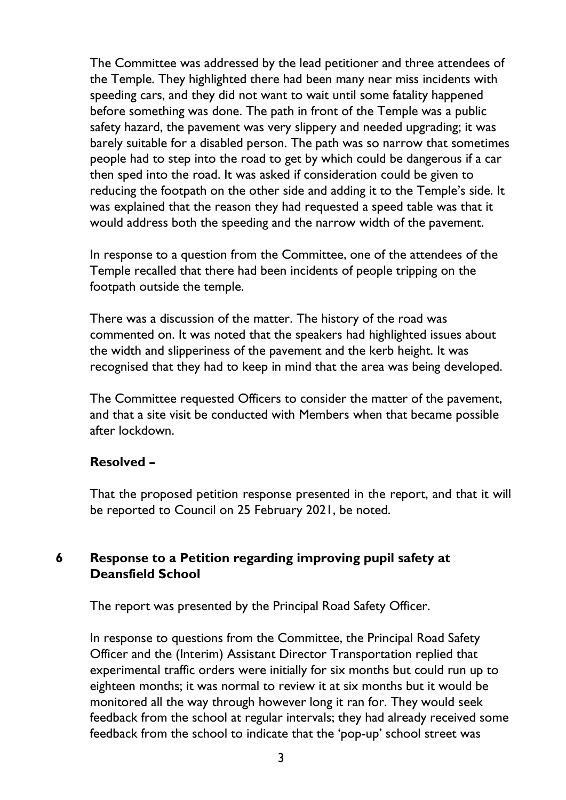The Committee was addressed by the lead petitioner and three attendees of the Temple. They highlighted there had been many near miss incidents with speeding cars, and they did not want to wait until some fatality happened before something was done. The path in front of the Temple was a public safety hazard, the pavement was very slippery and needed upgrading; it was barely suitable for a disabled person. The path was so narrow that sometimes people had to step into the road to get by which could be dangerous if a car then sped into the road. It was asked if consideration could be given to reducing the footpath on the other side and adding it to the Temple's side. It was explained that the reason they had requested a speed table was that it would address both the speeding and the narrow width of the pavement.

In response to a question from the Committee, one of the attendees of the Temple recalled that there had been incidents of people tripping on the footpath outside the temple.

There was a discussion of the matter. The history of the road was commented on. It was noted that the speakers had highlighted issues about the width and slipperiness of the pavement and the kerb height. It was recognised that they had to keep in mind that the area was being developed.

The Committee requested Officers to consider the matter of the pavement, and that a site visit be conducted with Members when that became possible after lockdown.

# **Resolved –**

That the proposed petition response presented in the report, and that it will be reported to Council on 25 February 2021, be noted.

# **6 Response to a Petition regarding improving pupil safety at Deansfield School**

The report was presented by the Principal Road Safety Officer.

In response to questions from the Committee, the Principal Road Safety Officer and the (Interim) Assistant Director Transportation replied that experimental traffic orders were initially for six months but could run up to eighteen months; it was normal to review it at six months but it would be monitored all the way through however long it ran for. They would seek feedback from the school at regular intervals; they had already received some feedback from the school to indicate that the 'pop-up' school street was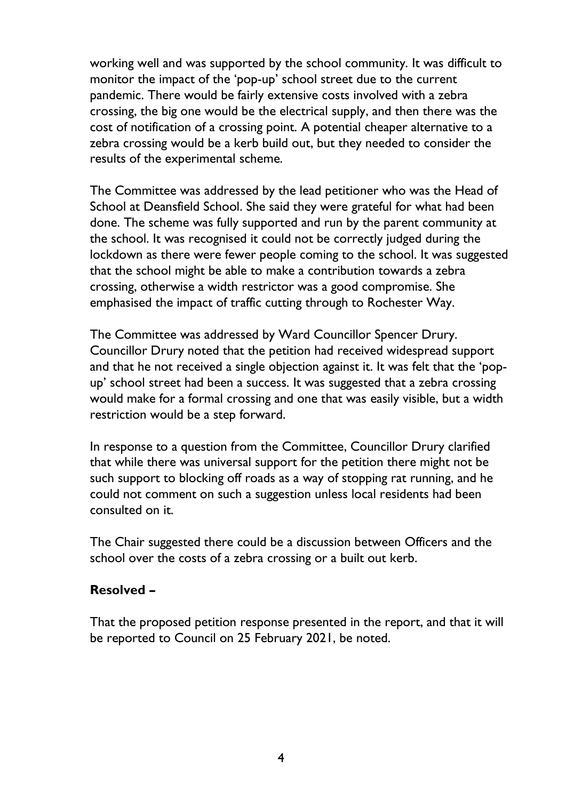working well and was supported by the school community. It was difficult to monitor the impact of the 'pop-up' school street due to the current pandemic. There would be fairly extensive costs involved with a zebra crossing, the big one would be the electrical supply, and then there was the cost of notification of a crossing point. A potential cheaper alternative to a zebra crossing would be a kerb build out, but they needed to consider the results of the experimental scheme.

The Committee was addressed by the lead petitioner who was the Head of School at Deansfield School. She said they were grateful for what had been done. The scheme was fully supported and run by the parent community at the school. It was recognised it could not be correctly judged during the lockdown as there were fewer people coming to the school. It was suggested that the school might be able to make a contribution towards a zebra crossing, otherwise a width restrictor was a good compromise. She emphasised the impact of traffic cutting through to Rochester Way.

The Committee was addressed by Ward Councillor Spencer Drury. Councillor Drury noted that the petition had received widespread support and that he not received a single objection against it. It was felt that the 'popup' school street had been a success. It was suggested that a zebra crossing would make for a formal crossing and one that was easily visible, but a width restriction would be a step forward.

In response to a question from the Committee, Councillor Drury clarified that while there was universal support for the petition there might not be such support to blocking off roads as a way of stopping rat running, and he could not comment on such a suggestion unless local residents had been consulted on it.

The Chair suggested there could be a discussion between Officers and the school over the costs of a zebra crossing or a built out kerb.

# **Resolved –**

That the proposed petition response presented in the report, and that it will be reported to Council on 25 February 2021, be noted.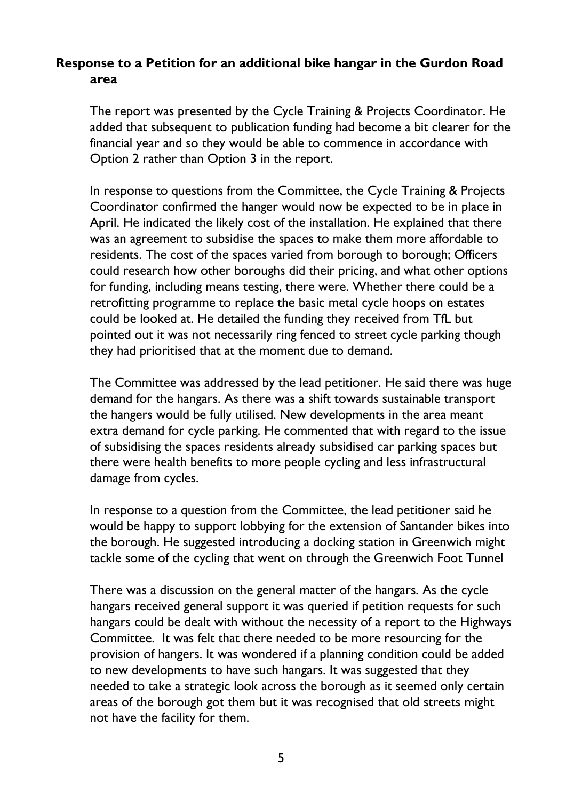# **Response to a Petition for an additional bike hangar in the Gurdon Road area**

The report was presented by the Cycle Training & Projects Coordinator. He added that subsequent to publication funding had become a bit clearer for the financial year and so they would be able to commence in accordance with Option 2 rather than Option 3 in the report.

In response to questions from the Committee, the Cycle Training & Projects Coordinator confirmed the hanger would now be expected to be in place in April. He indicated the likely cost of the installation. He explained that there was an agreement to subsidise the spaces to make them more affordable to residents. The cost of the spaces varied from borough to borough; Officers could research how other boroughs did their pricing, and what other options for funding, including means testing, there were. Whether there could be a retrofitting programme to replace the basic metal cycle hoops on estates could be looked at. He detailed the funding they received from TfL but pointed out it was not necessarily ring fenced to street cycle parking though they had prioritised that at the moment due to demand.

The Committee was addressed by the lead petitioner. He said there was huge demand for the hangars. As there was a shift towards sustainable transport the hangers would be fully utilised. New developments in the area meant extra demand for cycle parking. He commented that with regard to the issue of subsidising the spaces residents already subsidised car parking spaces but there were health benefits to more people cycling and less infrastructural damage from cycles.

In response to a question from the Committee, the lead petitioner said he would be happy to support lobbying for the extension of Santander bikes into the borough. He suggested introducing a docking station in Greenwich might tackle some of the cycling that went on through the Greenwich Foot Tunnel

There was a discussion on the general matter of the hangars. As the cycle hangars received general support it was queried if petition requests for such hangars could be dealt with without the necessity of a report to the Highways Committee. It was felt that there needed to be more resourcing for the provision of hangers. It was wondered if a planning condition could be added to new developments to have such hangars. It was suggested that they needed to take a strategic look across the borough as it seemed only certain areas of the borough got them but it was recognised that old streets might not have the facility for them.